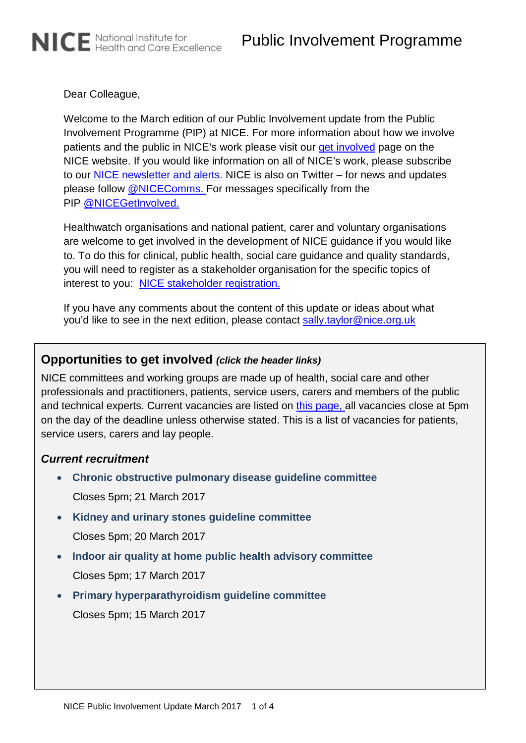Dear Colleague,

NICE National Institute for<br>NICE Health and Care Excellence

Welcome to the March edition of our Public Involvement update from the Public Involvement Programme (PIP) at NICE. For more information about how we involve patients and the public in NICE's work please visit our [get involved](http://www.nice.org.uk/Get-Involved) page on the NICE website. If you would like information on all of NICE's work, please subscribe to our [NICE newsletter and alerts.](https://www.nice.org.uk/news/nice-newsletters-and-alerts) NICE is also on Twitter – for news and updates please follow [@NICEComms.](http://twitter.com/NICEcomms) For messages specifically from the PIP [@NICEGetInvolved.](http://www.twitter.com/NICEgetinvolved)

Healthwatch organisations and national patient, carer and voluntary organisations are welcome to get involved in the development of NICE guidance if you would like to. To do this for clinical, public health, social care guidance and quality standards, you will need to register as a stakeholder organisation for the specific topics of interest to you: [NICE stakeholder registration.](https://www.nice.org.uk/Get-Involved/stakeholder-registration)

If you have any comments about the content of this update or ideas about what you'd like to see in the next edition, please contact [sally.taylor@nice.org.uk](mailto:sally.taylor@nice.org.uk)

# **Opportunities to get involved** *(click the header links)*

NICE committees and working groups are made up of health, social care and other professionals and practitioners, patients, service users, carers and members of the public and technical experts. Current vacancies are listed on [this page,](http://www.nice.org.uk/Get-Involved/join-a-committee) all vacancies close at 5pm on the day of the deadline unless otherwise stated. This is a list of vacancies for patients, service users, carers and lay people.

## *Current recruitment*

- **[Chronic obstructive pulmonary disease guideline committee](https://www.nice.org.uk/get-involved/join-a-committee/lay-member-copd-gc)** Closes 5pm; 21 March 2017
- **[Kidney and urinary stones guideline committee](https://www.nice.org.uk/get-involved/join-a-committee/lay-member-renal-and-ureteric-stones-gc)** Closes 5pm; 20 March 2017
- **[Indoor air quality at home public health advisory committee](https://www.nice.org.uk/get-involved/join-a-committee/lay-member-indoor-air-quality-at-home-phac)** Closes 5pm; 17 March 2017
- **[Primary hyperparathyroidism guideline committee](https://www.nice.org.uk/get-involved/join-a-committee/lay-member-primary-hyperparathyroidism-gc)** Closes 5pm; 15 March 2017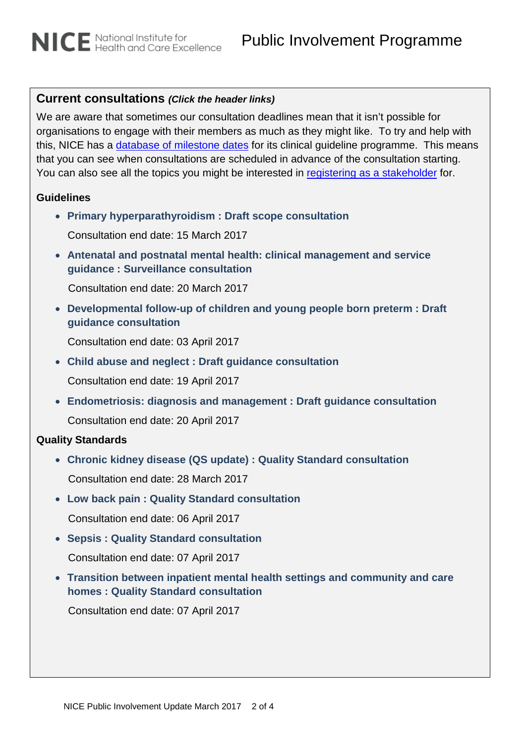# **Current consultations** *(Click the header links)*

We are aware that sometimes our consultation deadlines mean that it isn't possible for organisations to engage with their members as much as they might like. To try and help with this, NICE has a [database of milestone dates](https://www.nice.org.uk/about/what-we-do/our-programmes/nice-guidance/nice-guidelines/types-of-guideline) for its clinical guideline programme. This means that you can see when consultations are scheduled in advance of the consultation starting. You can also see all the topics you might be interested in [registering as a stakeholder](http://www.nice.org.uk/get-involved/Stakeholder-Registration) for.

#### **Guidelines**

- **[Primary hyperparathyroidism : Draft scope consultation](https://www.nice.org.uk/guidance/gid-ng10051/consultation/html-content)** Consultation end date: 15 March 2017
- **[Antenatal and postnatal mental health: clinical management and service](https://www.nice.org.uk/guidance/cg192/consultation/html-content)  [guidance : Surveillance consultation](https://www.nice.org.uk/guidance/cg192/consultation/html-content)**

Consultation end date: 20 March 2017

• **[Developmental follow-up of children and young people born preterm : Draft](https://www.nice.org.uk/guidance/gid-cgwave0752/consultation/html-content)  [guidance consultation](https://www.nice.org.uk/guidance/gid-cgwave0752/consultation/html-content)**

Consultation end date: 03 April 2017

- **[Child abuse and neglect : Draft guidance consultation](https://www.nice.org.uk/guidance/gid-scwave0708/consultation/html-content-2)** Consultation end date: 19 April 2017
- **Endometriosis: [diagnosis and management : Draft guidance consultation](https://www.nice.org.uk/guidance/gid-cgwave0737/consultation/html-content)** Consultation end date: 20 April 2017

## **Quality Standards**

• **[Chronic kidney disease \(QS update\) : Quality Standard consultation](https://www.nice.org.uk/guidance/gid-qs10028/consultation/html-content-2)**

Consultation end date: 28 March 2017

- **[Low back pain : Quality Standard consultation](https://www.nice.org.uk/guidance/gid-qs10027/consultation/html-content)** Consultation end date: 06 April 2017
- **[Sepsis : Quality Standard consultation](https://www.nice.org.uk/guidance/gid-qs10032/consultation/html-content)** Consultation end date: 07 April 2017
- **[Transition between inpatient mental health settings and community and care](https://www.nice.org.uk/guidance/gid-qs10024/consultation/html-content-2)  [homes : Quality Standard consultation](https://www.nice.org.uk/guidance/gid-qs10024/consultation/html-content-2)**

Consultation end date: 07 April 2017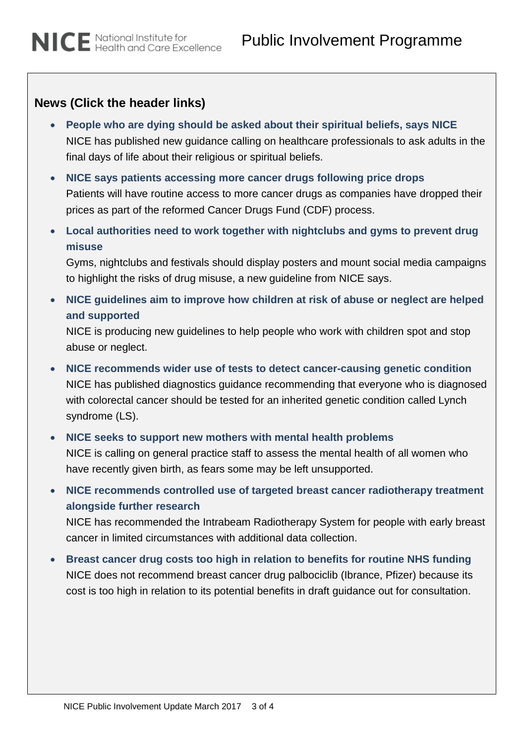# **News (Click the header links)**

- **[People who are dying should be asked about their spiritual beliefs, says NICE](http://www.nice.org.uk/news/article/people-who-are-dying-should-be-asked-about-their-spiritual-beliefs-says-nice)** NICE has published new guidance calling on healthcare professionals to ask adults in the final days of life about their religious or spiritual beliefs.
- **[NICE says patients accessing more cancer drugs following price drops](http://www.nice.org.uk/news/article/nice-says-patients-accessing-more-cancer-drugs-following-price-drops)** Patients will have routine access to more cancer drugs as companies have dropped their prices as part of the reformed Cancer Drugs Fund (CDF) process.
- **[Local authorities need to work together with nightclubs and gyms to prevent drug](http://www.nice.org.uk/news/article/local-authorities-need-to-work-together-with-nightclubs-and-gyms-to-prevent-drug-misuse)  [misuse](http://www.nice.org.uk/news/article/local-authorities-need-to-work-together-with-nightclubs-and-gyms-to-prevent-drug-misuse)**

Gyms, nightclubs and festivals should display posters and mount social media campaigns to highlight the risks of drug misuse, a new guideline from NICE says.

• **[NICE guidelines aim to improve how children at risk of abuse or neglect are helped](http://www.nice.org.uk/news/article/nice-guidelines-aim-to-improve-how-children-at-risk-of-abuse-or-neglect-are-helped-and-supported)  [and supported](http://www.nice.org.uk/news/article/nice-guidelines-aim-to-improve-how-children-at-risk-of-abuse-or-neglect-are-helped-and-supported)**

NICE is producing new guidelines to help people who work with children spot and stop abuse or neglect.

- **[NICE recommends wider use of tests to detect cancer-causing genetic condition](http://www.nice.org.uk/news/article/nice-recommends-wider-use-of-tests-to-detect-cancer-causing-genetic-condition-2)** NICE has published diagnostics guidance recommending that everyone who is diagnosed with colorectal cancer should be tested for an inherited genetic condition called Lynch syndrome (LS).
- **[NICE seeks to support new mothers with mental health problems](http://www.nice.org.uk/news/article/nice-seeks-to-support-new-mothers-with-mental-health-problems)** NICE is calling on general practice staff to assess the mental health of all women who have recently given birth, as fears some may be left unsupported.
- **[NICE recommends controlled use of targeted breast cancer radiotherapy treatment](http://www.nice.org.uk/news/article/nice-recommends-controlled-use-of-targeted-breast-cancer-radiotherapy-treatment-alongside-further-research)  [alongside further research](http://www.nice.org.uk/news/article/nice-recommends-controlled-use-of-targeted-breast-cancer-radiotherapy-treatment-alongside-further-research)**

NICE has recommended the Intrabeam Radiotherapy System for people with early breast cancer in limited circumstances with additional data collection.

• **[Breast cancer drug costs too high in relation to benefits for routine NHS funding](http://www.nice.org.uk/news/article/breast-cancer-drug-costs-too-high-in-relation-to-benefits-for-routine-nhs-funding)** NICE does not recommend breast cancer drug palbociclib (Ibrance, Pfizer) because its cost is too high in relation to its potential benefits in draft guidance out for consultation.